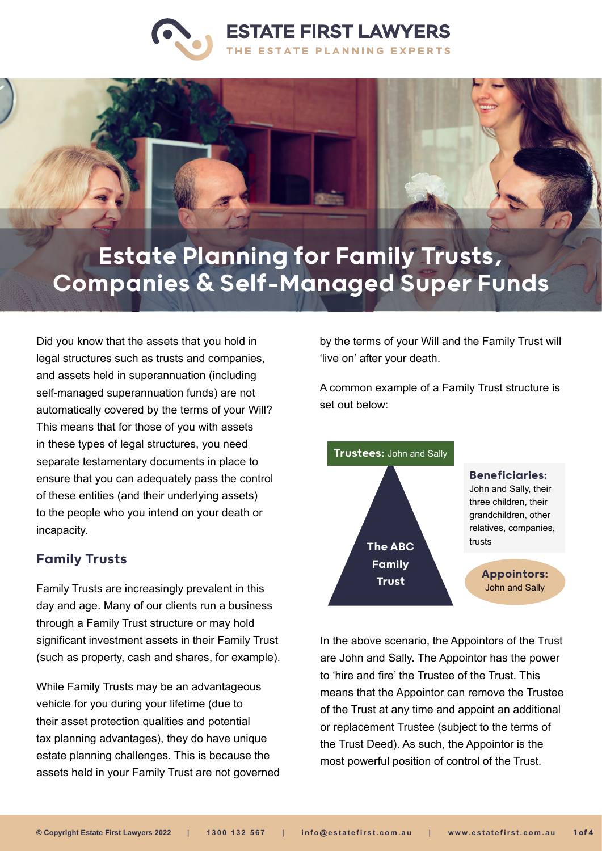



# Estate Planning for Family Trusts, Companies & Self-Managed Super Funds

Did you know that the assets that you hold in legal structures such as trusts and companies, and assets held in superannuation (including self-managed superannuation funds) are not automatically covered by the terms of your Will? This means that for those of you with assets in these types of legal structures, you need separate testamentary documents in place to ensure that you can adequately pass the control of these entities (and their underlying assets) to the people who you intend on your death or incapacity.

### Family Trusts

Family Trusts are increasingly prevalent in this day and age. Many of our clients run a business through a Family Trust structure or may hold significant investment assets in their Family Trust (such as property, cash and shares, for example).

While Family Trusts may be an advantageous vehicle for you during your lifetime (due to their asset protection qualities and potential tax planning advantages), they do have unique estate planning challenges. This is because the assets held in your Family Trust are not governed by the terms of your Will and the Family Trust will 'live on' after your death.

A common example of a Family Trust structure is set out below:



In the above scenario, the Appointors of the Trust are John and Sally. The Appointor has the power to 'hire and fire' the Trustee of the Trust. This means that the Appointor can remove the Trustee of the Trust at any time and appoint an additional or replacement Trustee (subject to the terms of the Trust Deed). As such, the Appointor is the most powerful position of control of the Trust.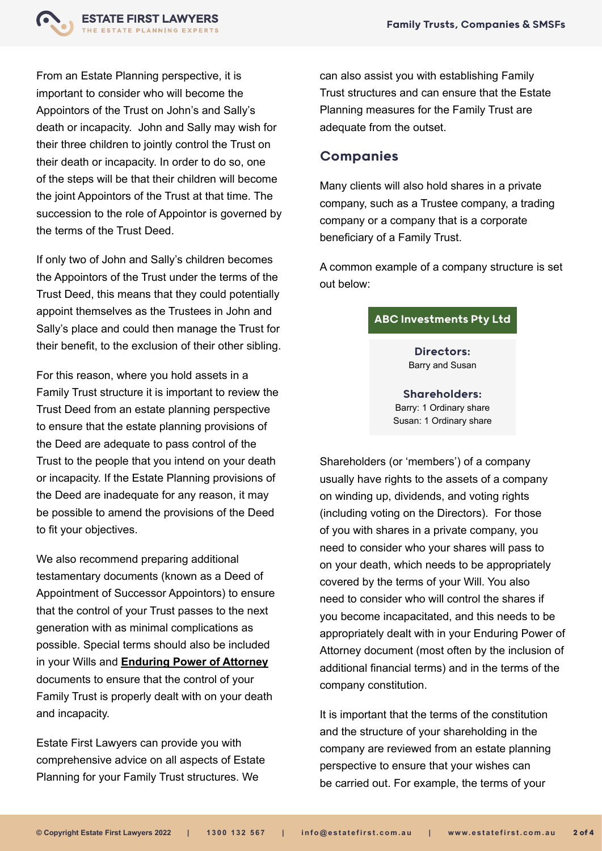

From an Estate Planning perspective, it is important to consider who will become the Appointors of the Trust on John's and Sally's death or incapacity. John and Sally may wish for their three children to jointly control the Trust on their death or incapacity. In order to do so, one of the steps will be that their children will become the joint Appointors of the Trust at that time. The succession to the role of Appointor is governed by the terms of the Trust Deed.

If only two of John and Sally's children becomes the Appointors of the Trust under the terms of the Trust Deed, this means that they could potentially appoint themselves as the Trustees in John and Sally's place and could then manage the Trust for their benefit, to the exclusion of their other sibling.

For this reason, where you hold assets in a Family Trust structure it is important to review the Trust Deed from an estate planning perspective to ensure that the estate planning provisions of the Deed are adequate to pass control of the Trust to the people that you intend on your death or incapacity. If the Estate Planning provisions of the Deed are inadequate for any reason, it may be possible to amend the provisions of the Deed to fit your objectives.

We also recommend preparing additional testamentary documents (known as a Deed of Appointment of Successor Appointors) to ensure that the control of your Trust passes to the next generation with as minimal complications as possible. Special terms should also be included in your Wills and **[Enduring Power of Attorney](https://www.estatefirst.com.au/estate-planning/enduring-powers-of-attorney)** documents to ensure that the control of your Family Trust is properly dealt with on your death and incapacity.

Estate First Lawyers can provide you with comprehensive advice on all aspects of Estate Planning for your Family Trust structures. We

can also assist you with establishing Family Trust structures and can ensure that the Estate Planning measures for the Family Trust are adequate from the outset.

#### Companies

Many clients will also hold shares in a private company, such as a Trustee company, a trading company or a company that is a corporate beneficiary of a Family Trust.

A common example of a company structure is set out below:

#### ABC Investments Pty Ltd

Directors: Barry and Susan

Shareholders: Barry: 1 Ordinary share Susan: 1 Ordinary share

Shareholders (or 'members') of a company usually have rights to the assets of a company on winding up, dividends, and voting rights (including voting on the Directors). For those of you with shares in a private company, you need to consider who your shares will pass to on your death, which needs to be appropriately covered by the terms of your Will. You also need to consider who will control the shares if you become incapacitated, and this needs to be appropriately dealt with in your Enduring Power of Attorney document (most often by the inclusion of additional financial terms) and in the terms of the company constitution.

It is important that the terms of the constitution and the structure of your shareholding in the company are reviewed from an estate planning perspective to ensure that your wishes can be carried out. For example, the terms of your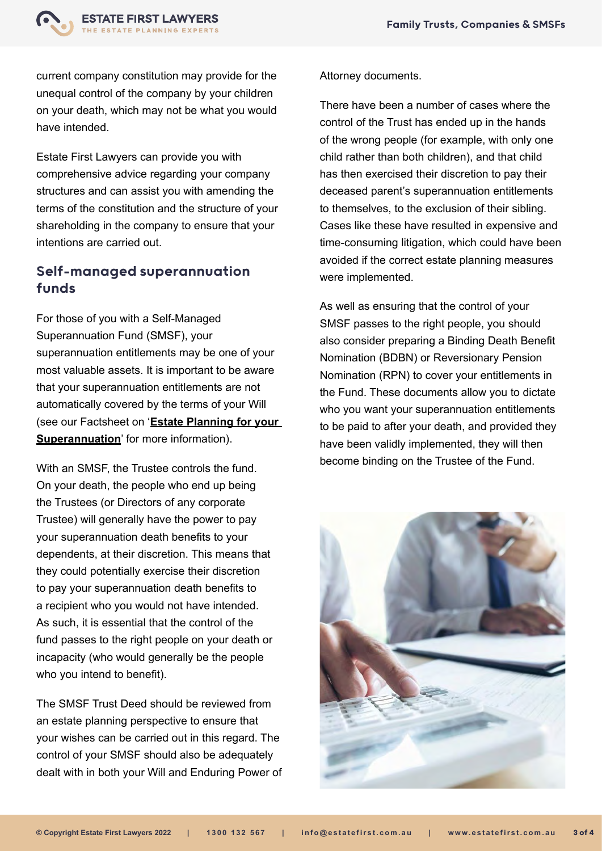

current company constitution may provide for the unequal control of the company by your children on your death, which may not be what you would have intended.

Estate First Lawyers can provide you with comprehensive advice regarding your company structures and can assist you with amending the terms of the constitution and the structure of your shareholding in the company to ensure that your intentions are carried out.

## Self-managed superannuation funds

For those of you with a Self-Managed Superannuation Fund (SMSF), your superannuation entitlements may be one of your most valuable assets. It is important to be aware that your superannuation entitlements are not automatically covered by the terms of your Will (see our Factsheet on '**[Estate Planning for your](https://www.estatefirst.com.au/estate-planning/superannuation)  [Superannuation](https://www.estatefirst.com.au/estate-planning/superannuation)**' for more information).

With an SMSF, the Trustee controls the fund. On your death, the people who end up being the Trustees (or Directors of any corporate Trustee) will generally have the power to pay your superannuation death benefits to your dependents, at their discretion. This means that they could potentially exercise their discretion to pay your superannuation death benefits to a recipient who you would not have intended. As such, it is essential that the control of the fund passes to the right people on your death or incapacity (who would generally be the people who you intend to benefit).

The SMSF Trust Deed should be reviewed from an estate planning perspective to ensure that your wishes can be carried out in this regard. The control of your SMSF should also be adequately dealt with in both your Will and Enduring Power of

#### Attorney documents.

There have been a number of cases where the control of the Trust has ended up in the hands of the wrong people (for example, with only one child rather than both children), and that child has then exercised their discretion to pay their deceased parent's superannuation entitlements to themselves, to the exclusion of their sibling. Cases like these have resulted in expensive and time-consuming litigation, which could have been avoided if the correct estate planning measures were implemented.

As well as ensuring that the control of your SMSF passes to the right people, you should also consider preparing a Binding Death Benefit Nomination (BDBN) or Reversionary Pension Nomination (RPN) to cover your entitlements in the Fund. These documents allow you to dictate who you want your superannuation entitlements to be paid to after your death, and provided they have been validly implemented, they will then become binding on the Trustee of the Fund.